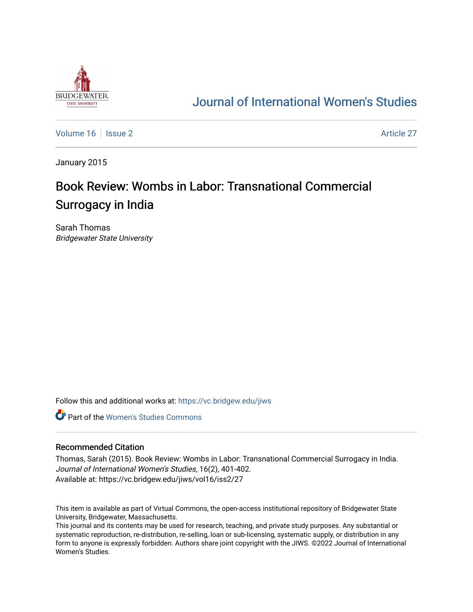

## [Journal of International Women's Studies](https://vc.bridgew.edu/jiws)

[Volume 16](https://vc.bridgew.edu/jiws/vol16) September 2 Article 27

January 2015

# Book Review: Wombs in Labor: Transnational Commercial Surrogacy in India

Sarah Thomas Bridgewater State University

Follow this and additional works at: [https://vc.bridgew.edu/jiws](https://vc.bridgew.edu/jiws?utm_source=vc.bridgew.edu%2Fjiws%2Fvol16%2Fiss2%2F27&utm_medium=PDF&utm_campaign=PDFCoverPages)

**C** Part of the Women's Studies Commons

### Recommended Citation

Thomas, Sarah (2015). Book Review: Wombs in Labor: Transnational Commercial Surrogacy in India. Journal of International Women's Studies, 16(2), 401-402. Available at: https://vc.bridgew.edu/jiws/vol16/iss2/27

This item is available as part of Virtual Commons, the open-access institutional repository of Bridgewater State University, Bridgewater, Massachusetts.

This journal and its contents may be used for research, teaching, and private study purposes. Any substantial or systematic reproduction, re-distribution, re-selling, loan or sub-licensing, systematic supply, or distribution in any form to anyone is expressly forbidden. Authors share joint copyright with the JIWS. ©2022 Journal of International Women's Studies.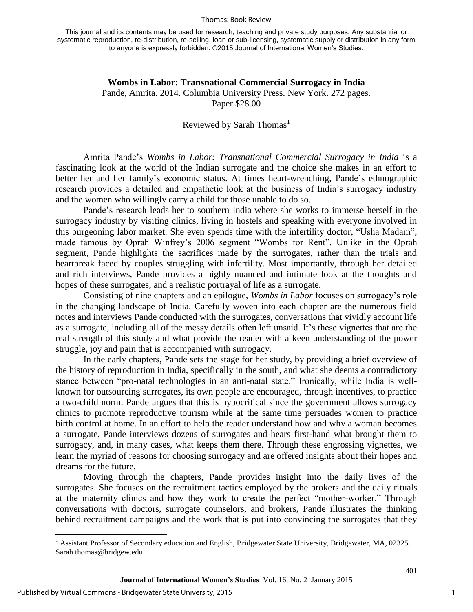#### Thomas: Book Review

This journal and its contents may be used for research, teaching and private study purposes. Any substantial or systematic reproduction, re-distribution, re-selling, loan or sub-licensing, systematic supply or distribution in any form to anyone is expressly forbidden. ©2015 Journal of International Women's Studies.

## **Wombs in Labor: Transnational Commercial Surrogacy in India**  Pande, Amrita. 2014. Columbia University Press. New York. 272 pages. Paper \$28.00

## Reviewed by Sarah Thomas<sup>1</sup>

Amrita Pande's *Wombs in Labor: Transnational Commercial Surrogacy in India* is a fascinating look at the world of the Indian surrogate and the choice she makes in an effort to better her and her family's economic status. At times heart-wrenching, Pande's ethnographic research provides a detailed and empathetic look at the business of India's surrogacy industry and the women who willingly carry a child for those unable to do so.

Pande's research leads her to southern India where she works to immerse herself in the surrogacy industry by visiting clinics, living in hostels and speaking with everyone involved in this burgeoning labor market. She even spends time with the infertility doctor, "Usha Madam", made famous by Oprah Winfrey's 2006 segment "Wombs for Rent". Unlike in the Oprah segment, Pande highlights the sacrifices made by the surrogates, rather than the trials and heartbreak faced by couples struggling with infertility. Most importantly, through her detailed and rich interviews, Pande provides a highly nuanced and intimate look at the thoughts and hopes of these surrogates, and a realistic portrayal of life as a surrogate.

Consisting of nine chapters and an epilogue, *Wombs in Labor* focuses on surrogacy's role in the changing landscape of India. Carefully woven into each chapter are the numerous field notes and interviews Pande conducted with the surrogates, conversations that vividly account life as a surrogate, including all of the messy details often left unsaid. It's these vignettes that are the real strength of this study and what provide the reader with a keen understanding of the power struggle, joy and pain that is accompanied with surrogacy.

In the early chapters, Pande sets the stage for her study, by providing a brief overview of the history of reproduction in India, specifically in the south, and what she deems a contradictory stance between "pro-natal technologies in an anti-natal state." Ironically, while India is wellknown for outsourcing surrogates, its own people are encouraged, through incentives, to practice a two-child norm. Pande argues that this is hypocritical since the government allows surrogacy clinics to promote reproductive tourism while at the same time persuades women to practice birth control at home. In an effort to help the reader understand how and why a woman becomes a surrogate, Pande interviews dozens of surrogates and hears first-hand what brought them to surrogacy, and, in many cases, what keeps them there. Through these engrossing vignettes, we learn the myriad of reasons for choosing surrogacy and are offered insights about their hopes and dreams for the future.

Moving through the chapters, Pande provides insight into the daily lives of the surrogates. She focuses on the recruitment tactics employed by the brokers and the daily rituals at the maternity clinics and how they work to create the perfect "mother-worker." Through conversations with doctors, surrogate counselors, and brokers, Pande illustrates the thinking behind recruitment campaigns and the work that is put into convincing the surrogates that they

l

401

<sup>&</sup>lt;sup>1</sup> Assistant Professor of Secondary education and English, Bridgewater State University, Bridgewater, MA, 02325. Sarah.thomas@bridgew.edu